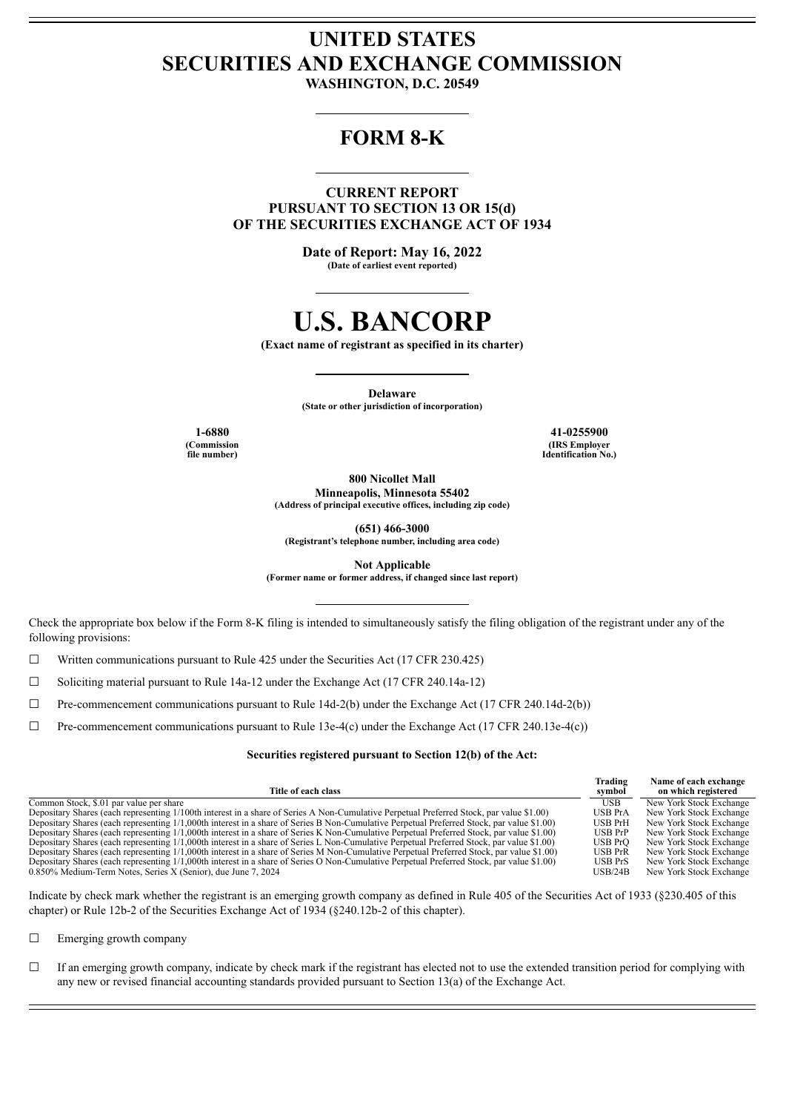# **UNITED STATES SECURITIES AND EXCHANGE COMMISSION**

**WASHINGTON, D.C. 20549**

## **FORM 8-K**

## **CURRENT REPORT**

**PURSUANT TO SECTION 13 OR 15(d) OF THE SECURITIES EXCHANGE ACT OF 1934**

> **Date of Report: May 16, 2022 (Date of earliest event reported)**

# **U.S. BANCORP**

**(Exact name of registrant as specified in its charter)**

**Delaware (State or other jurisdiction of incorporation)**

**(Commission file number)**

**1-6880 41-0255900 (IRS Employer Identification No.)**

**800 Nicollet Mall**

**Minneapolis, Minnesota 55402 (Address of principal executive offices, including zip code)**

**(651) 466-3000**

**(Registrant's telephone number, including area code)**

**Not Applicable**

**(Former name or former address, if changed since last report)**

Check the appropriate box below if the Form 8-K filing is intended to simultaneously satisfy the filing obligation of the registrant under any of the following provisions:

 $\Box$  Written communications pursuant to Rule 425 under the Securities Act (17 CFR 230.425)

☐ Soliciting material pursuant to Rule 14a-12 under the Exchange Act (17 CFR 240.14a-12)

 $\Box$  Pre-commencement communications pursuant to Rule 14d-2(b) under the Exchange Act (17 CFR 240.14d-2(b))

 $\Box$  Pre-commencement communications pursuant to Rule 13e-4(c) under the Exchange Act (17 CFR 240.13e-4(c))

#### **Securities registered pursuant to Section 12(b) of the Act:**

| Title of each class                                                                                                                        | Trading<br>symbol | Name of each exchange<br>on which registered |
|--------------------------------------------------------------------------------------------------------------------------------------------|-------------------|----------------------------------------------|
| Common Stock, \$.01 par value per share                                                                                                    | USB               | New York Stock Exchange                      |
| Depositary Shares (each representing 1/100th interest in a share of Series A Non-Cumulative Perpetual Preferred Stock, par value \$1.00)   | USB PrA           | New York Stock Exchange                      |
| Depositary Shares (each representing 1/1,000th interest in a share of Series B Non-Cumulative Perpetual Preferred Stock, par value \$1.00) | <b>USB PrH</b>    | New York Stock Exchange                      |
| Depositary Shares (each representing 1/1,000th interest in a share of Series K Non-Cumulative Perpetual Preferred Stock, par value \$1.00) | USB PrP           | New York Stock Exchange                      |
| Depositary Shares (each representing 1/1,000th interest in a share of Series L Non-Cumulative Perpetual Preferred Stock, par value \$1.00) | USB PrO           | New York Stock Exchange                      |
| Depositary Shares (each representing 1/1,000th interest in a share of Series M Non-Cumulative Perpetual Preferred Stock, par value \$1.00) | USB PrR           | New York Stock Exchange                      |
| Depositary Shares (each representing 1/1,000th interest in a share of Series O Non-Cumulative Perpetual Preferred Stock, par value \$1.00) | USB PrS           | New York Stock Exchange                      |
| 0.850% Medium-Term Notes, Series X (Senior), due June 7, 2024                                                                              | USB/24B           | New York Stock Exchange                      |

Indicate by check mark whether the registrant is an emerging growth company as defined in Rule 405 of the Securities Act of 1933 (§230.405 of this chapter) or Rule 12b-2 of the Securities Exchange Act of 1934 (§240.12b-2 of this chapter).

 $\Box$  Emerging growth company

 $\Box$  If an emerging growth company, indicate by check mark if the registrant has elected not to use the extended transition period for complying with any new or revised financial accounting standards provided pursuant to Section 13(a) of the Exchange Act.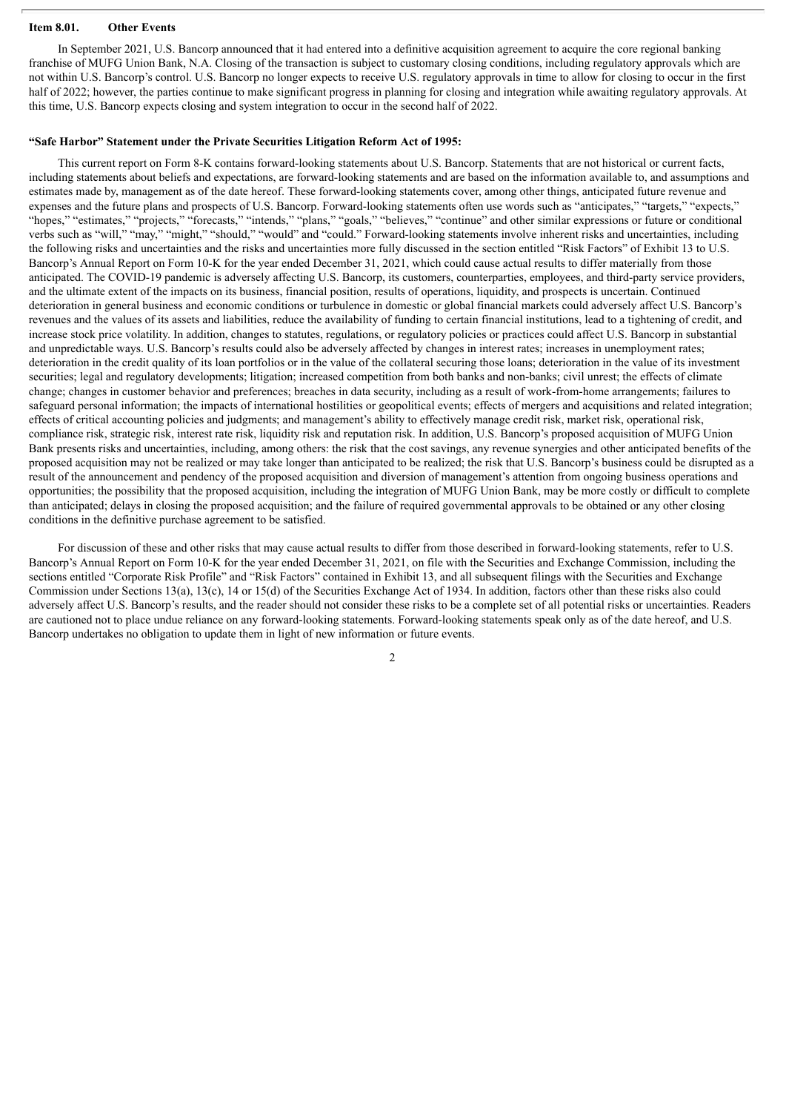#### **Item 8.01. Other Events**

In September 2021, U.S. Bancorp announced that it had entered into a definitive acquisition agreement to acquire the core regional banking franchise of MUFG Union Bank, N.A. Closing of the transaction is subject to customary closing conditions, including regulatory approvals which are not within U.S. Bancorp's control. U.S. Bancorp no longer expects to receive U.S. regulatory approvals in time to allow for closing to occur in the first half of 2022; however, the parties continue to make significant progress in planning for closing and integration while awaiting regulatory approvals. At this time, U.S. Bancorp expects closing and system integration to occur in the second half of 2022.

#### **"Safe Harbor" Statement under the Private Securities Litigation Reform Act of 1995:**

This current report on Form 8-K contains forward-looking statements about U.S. Bancorp. Statements that are not historical or current facts, including statements about beliefs and expectations, are forward-looking statements and are based on the information available to, and assumptions and estimates made by, management as of the date hereof. These forward-looking statements cover, among other things, anticipated future revenue and expenses and the future plans and prospects of U.S. Bancorp. Forward-looking statements often use words such as "anticipates," "targets," "expects," "hopes," "estimates," "projects," "forecasts," "intends," "plans," "goals," "believes," "continue" and other similar expressions or future or conditional verbs such as "will," "may," "might," "should," "would" and "could." Forward-looking statements involve inherent risks and uncertainties, including the following risks and uncertainties and the risks and uncertainties more fully discussed in the section entitled "Risk Factors" of Exhibit 13 to U.S. Bancorp's Annual Report on Form 10-K for the year ended December 31, 2021, which could cause actual results to differ materially from those anticipated. The COVID-19 pandemic is adversely affecting U.S. Bancorp, its customers, counterparties, employees, and third-party service providers, and the ultimate extent of the impacts on its business, financial position, results of operations, liquidity, and prospects is uncertain. Continued deterioration in general business and economic conditions or turbulence in domestic or global financial markets could adversely affect U.S. Bancorp's revenues and the values of its assets and liabilities, reduce the availability of funding to certain financial institutions, lead to a tightening of credit, and increase stock price volatility. In addition, changes to statutes, regulations, or regulatory policies or practices could affect U.S. Bancorp in substantial and unpredictable ways. U.S. Bancorp's results could also be adversely affected by changes in interest rates; increases in unemployment rates; deterioration in the credit quality of its loan portfolios or in the value of the collateral securing those loans; deterioration in the value of its investment securities; legal and regulatory developments; litigation; increased competition from both banks and non-banks; civil unrest; the effects of climate change; changes in customer behavior and preferences; breaches in data security, including as a result of work-from-home arrangements; failures to safeguard personal information; the impacts of international hostilities or geopolitical events; effects of mergers and acquisitions and related integration; effects of critical accounting policies and judgments; and management's ability to effectively manage credit risk, market risk, operational risk, compliance risk, strategic risk, interest rate risk, liquidity risk and reputation risk. In addition, U.S. Bancorp's proposed acquisition of MUFG Union Bank presents risks and uncertainties, including, among others: the risk that the cost savings, any revenue synergies and other anticipated benefits of the proposed acquisition may not be realized or may take longer than anticipated to be realized; the risk that U.S. Bancorp's business could be disrupted as a result of the announcement and pendency of the proposed acquisition and diversion of management's attention from ongoing business operations and opportunities; the possibility that the proposed acquisition, including the integration of MUFG Union Bank, may be more costly or difficult to complete than anticipated; delays in closing the proposed acquisition; and the failure of required governmental approvals to be obtained or any other closing conditions in the definitive purchase agreement to be satisfied.

For discussion of these and other risks that may cause actual results to differ from those described in forward-looking statements, refer to U.S. Bancorp's Annual Report on Form 10-K for the year ended December 31, 2021, on file with the Securities and Exchange Commission, including the sections entitled "Corporate Risk Profile" and "Risk Factors" contained in Exhibit 13, and all subsequent filings with the Securities and Exchange Commission under Sections 13(a), 13(c), 14 or 15(d) of the Securities Exchange Act of 1934. In addition, factors other than these risks also could adversely affect U.S. Bancorp's results, and the reader should not consider these risks to be a complete set of all potential risks or uncertainties. Readers are cautioned not to place undue reliance on any forward-looking statements. Forward-looking statements speak only as of the date hereof, and U.S. Bancorp undertakes no obligation to update them in light of new information or future events.

2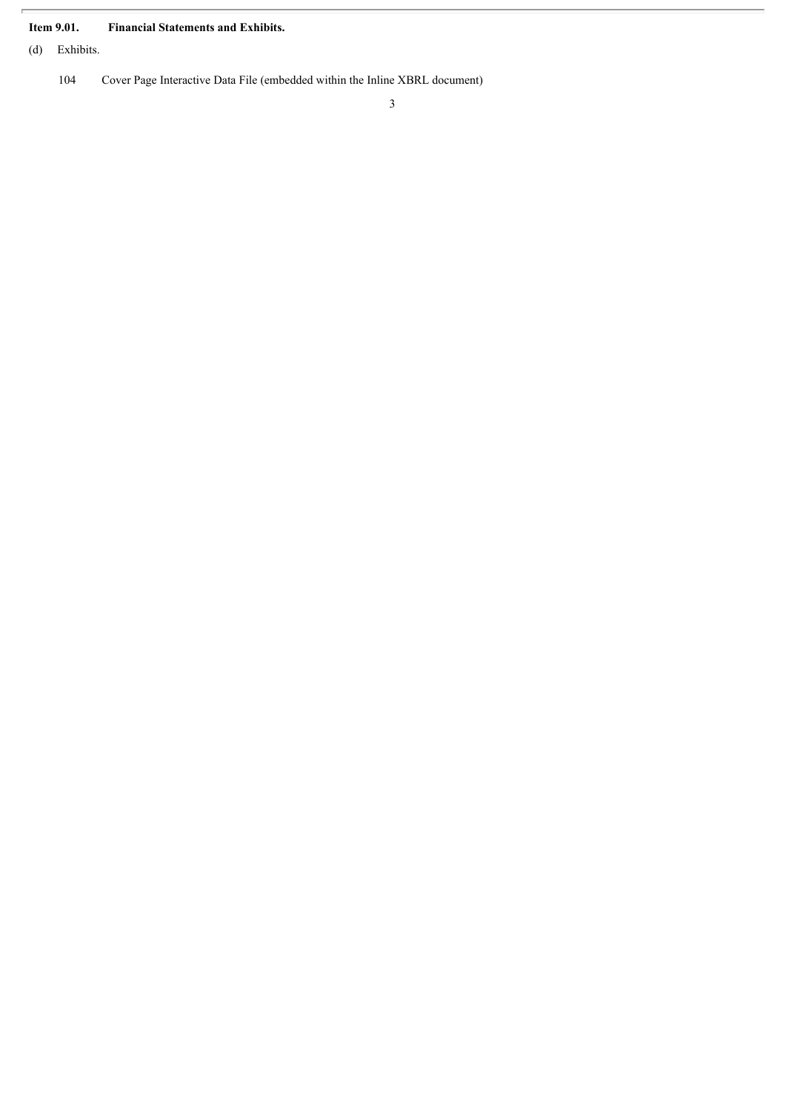## **Item 9.01. Financial Statements and Exhibits.**

(d) Exhibits.

104 Cover Page Interactive Data File (embedded within the Inline XBRL document)